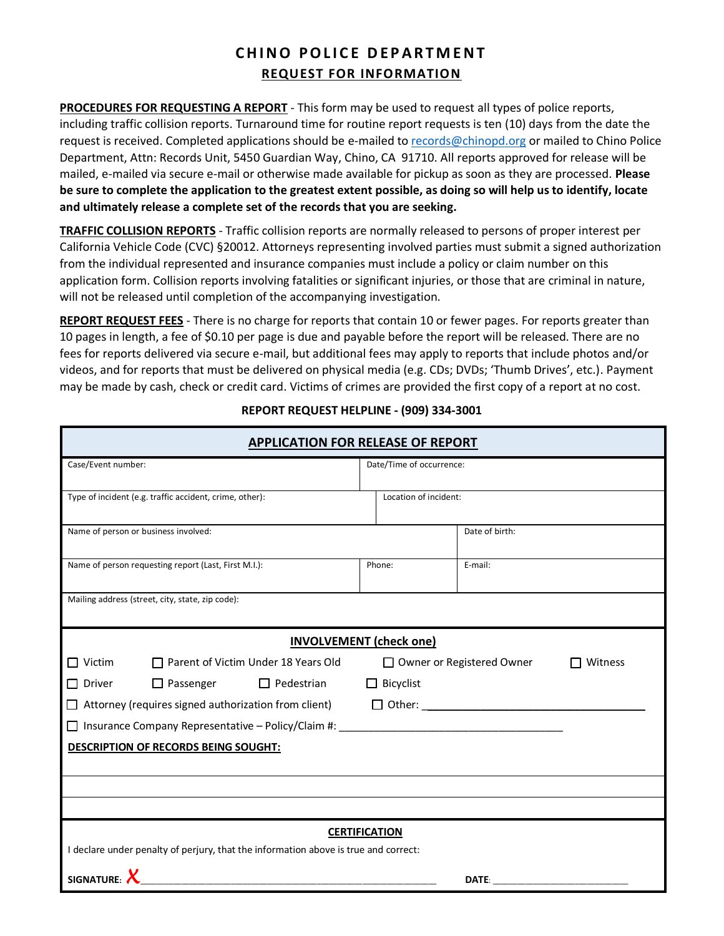# **CHINO POLICE DEPARTMENT REQUEST FOR INFORMATION**

**PROCEDURES FOR REQUESTING A REPORT** - This form may be used to request all types of police reports, including traffic collision reports. Turnaround time for routine report requests is ten (10) days from the date the request is received. Completed applications should be e-mailed to [records@chinopd.org](mailto:records@chinopd.org) or mailed to Chino Police Department, Attn: Records Unit, 5450 Guardian Way, Chino, CA 91710. All reports approved for release will be mailed, e-mailed via secure e-mail or otherwise made available for pickup as soon as they are processed. **Please be sure to complete the application to the greatest extent possible, as doing so will help us to identify, locate and ultimately release a complete set of the records that you are seeking.**

**TRAFFIC COLLISION REPORTS** - Traffic collision reports are normally released to persons of proper interest per California Vehicle Code (CVC) §20012. Attorneys representing involved parties must submit a signed authorization from the individual represented and insurance companies must include a policy or claim number on this application form. Collision reports involving fatalities or significant injuries, or those that are criminal in nature, will not be released until completion of the accompanying investigation.

**REPORT REQUEST FEES** - There is no charge for reports that contain 10 or fewer pages. For reports greater than 10 pages in length, a fee of \$0.10 per page is due and payable before the report will be released. There are no fees for reports delivered via secure e-mail, but additional fees may apply to reports that include photos and/or videos, and for reports that must be delivered on physical media (e.g. CDs; DVDs; 'Thumb Drives', etc.). Payment may be made by cash, check or credit card. Victims of crimes are provided the first copy of a report at no cost.

| <b>APPLICATION FOR RELEASE OF REPORT</b>                                            |                      |                                        |                |  |  |
|-------------------------------------------------------------------------------------|----------------------|----------------------------------------|----------------|--|--|
| Case/Event number:                                                                  |                      | Date/Time of occurrence:               |                |  |  |
| Type of incident (e.g. traffic accident, crime, other):                             |                      | Location of incident:                  |                |  |  |
| Name of person or business involved:                                                |                      |                                        | Date of birth: |  |  |
| Name of person requesting report (Last, First M.I.):                                |                      | Phone:<br>E-mail:                      |                |  |  |
| Mailing address (street, city, state, zip code):                                    |                      |                                        |                |  |  |
| <b>INVOLVEMENT</b> (check one)                                                      |                      |                                        |                |  |  |
| $\Box$ Victim<br>$\Box$ Parent of Victim Under 18 Years Old                         |                      | □ Owner or Registered Owner<br>Witness |                |  |  |
| $\Box$ Passenger $\Box$ Pedestrian<br>$\Box$ Driver                                 | $\Box$ Bicyclist     |                                        |                |  |  |
| Attorney (requires signed authorization from client)                                | $\Box$ Other: $\Box$ |                                        |                |  |  |
|                                                                                     |                      |                                        |                |  |  |
| <b>DESCRIPTION OF RECORDS BEING SOUGHT:</b>                                         |                      |                                        |                |  |  |
|                                                                                     |                      |                                        |                |  |  |
|                                                                                     |                      |                                        |                |  |  |
|                                                                                     |                      |                                        |                |  |  |
| <b>CERTIFICATION</b>                                                                |                      |                                        |                |  |  |
| I declare under penalty of perjury, that the information above is true and correct: |                      |                                        |                |  |  |
| <b>SIGNATURE:</b>                                                                   |                      |                                        |                |  |  |

## **REPORT REQUEST HELPLINE - (909) 334-3001**